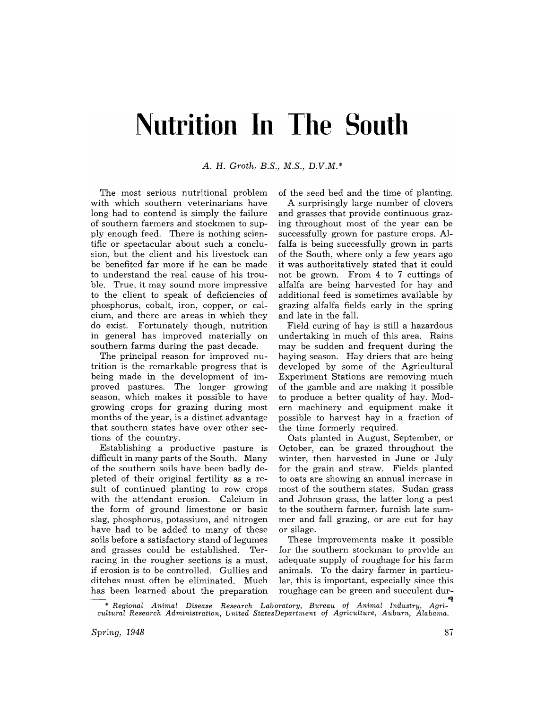## **Nutrition In The South**

*A.* H. *Groth. B.S., M.S., D.V.M.\** 

The most serious nutritional problem with which southern veterinarians have long had to contend is simply the failure of southern farmers and stockmen to supply enough feed. There is nothing scientific or spectacular about such a conclusion, but the client and his livestock can be benefited far more if he can be made to understand the real cause of his trouble. True, it may sound more impressive to the client to speak of deficiencies of phosphorus, cobalt, iron, copper, or calcium, and there are areas in which they do exist. Fortunately though, nutrition in general has improved materially on southern farms during the past decade.

The principal reason for improved nutrition is the remarkable progress that is being made in the development of improved pastures. The longer growing season, which makes it possible to have growing crops for grazing during most months of the year, is a distinct advantage that southern states have over other sections of the country.

Establishing a productive pasture is difficult in many parts of the South. Many of the southern soils have been badly depleted of their original fertility as a result of continued planting to row crops with the attendant erosion. Calcium in the form of ground limestone or basic slag, phosphorus, potassium, and nitrogen have had to be added to many of these soils before a satisfactory stand of legumes and grasses could be established. Terracing in the rougher sections is a must, if erosion is to be controlled. Gullies and ditches must often be eliminated. Much has been learned about the preparation of the seed bed and the time of planting.

A surprisingly large number of clovers and grasses that provide continuous grazing throughout most of the year can be successfully grown for pasture crops. Alfalfa is being successfully grown in parts of the South, where only a few years ago it was authoritatively stated that it could not be grown. From 4 to 7 cuttings of alfalfa are being harvested for hay and additional feed is sometimes available by grazing alfalfa fields early in the spring and late in the fall.

Field curing of hay is still a hazardous undertaking in much of this area. Rains may be sudden and frequent during the haying season. Hay driers that are being developed by some of the Agricultural Experiment Stations are removing much of the gamble and are making it possible to produce a better quality of hay. Modern machinery and equipment make it possible to harvest hay in a fraction of the time formerly required.

Oats planted in August, September, or October, can be grazed throughout the winter, then harvested in June or July for the grain and straw. Fields planted to oats are showing an annual increase in most of the southern states. Sudan grass and Johnson grass, the latter long a pest to the southern farmer. furnish late summer and fall grazing, or are cut for hay or silage.

These improvements make it possible for the southern stockman to provide an adequate supply of roughage for his farm animals. To the dairy farmer in particular, this is important, especially since this roughage can be green and succulent dur-

tq \* *Regional Animal Disease Research Laboratory, Bureau* of *Animal Industry, Agricultural Research Administration, United States Department of Agriculture, Auburn, Alabama.*